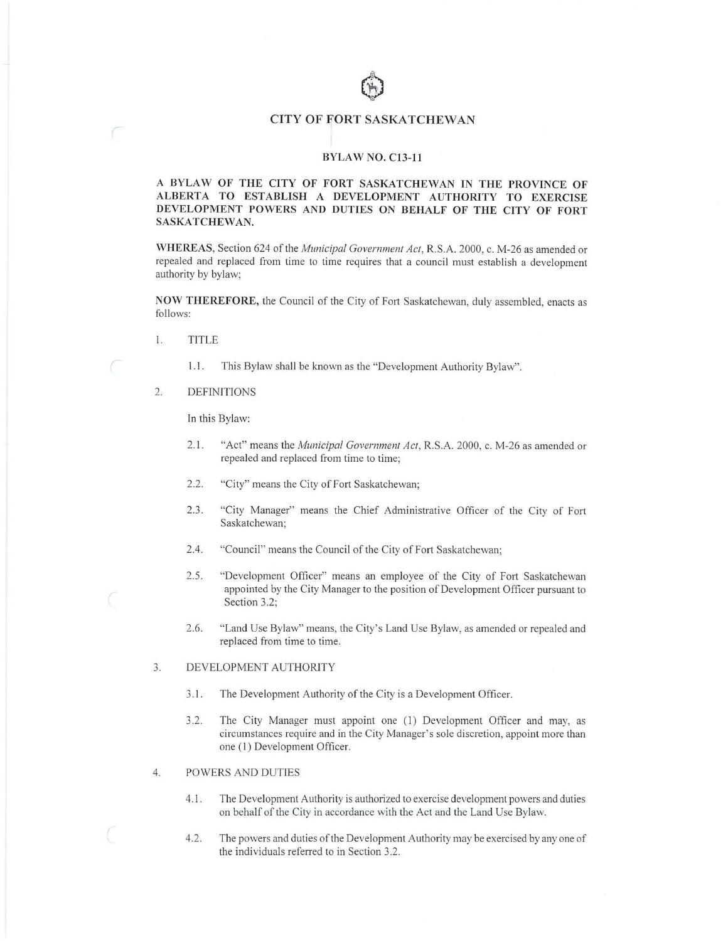# CITY OF FORT SASKATCHEWAN

#### **BYLAW NO. Cl3-1** I

### **A BYLAW OF THE CITY OF FORT SASKATCHEWAN IN THE PROVINCE OF ALBERTA TO ESTABLISH A DEVELOPMENT AUTHORITY TO EXERCISE DEVELOPMENT POWERS AND DUTIES ON BEHALF OF THE CITY OF FORT SASKATCHEWAN.**

**V11 HEREAS,** Section 624 of the *Municipal Govemmenl Act,* R.S.A. 2000, c. M-26 as amended or repealed and replaced from time to time requires that a council must establish a development authority by bylaw;

**NOW THEREFORE,** the Council of the City of Fort Saskatchewan, duly assembled, enacts as follows:

- I. TITLE
	- 1.1 . This Bylaw shall be known as the "Development Authority Bylaw".
- 2. DEFINITIONS

In this Bylaw:

- 2.1. "Act" means the *Municipal Govemmenl Act,* R.S.A. 2000, c. M-26 as amended or repealed and replaced from time to time;
- 2.2. "City" means the City of Fort Saskatchewan;
- 2.3. "City Manager" means the Chief Administrative Officer of the City of Fort Saskatchewan;
- 2.4. "Council" means the Council of the City of Fort Saskatchewan;
- 2.5. "Development Officer" means an employee of the City of Fort Saskatchewan appointed by the City Manager to the position of Development Officer pursuant to Section 3.2;
- 2.6. "Land Use Bylaw" means, the City's Land Use Bylaw, as amended or repealed and replaced from time to time.

#### 3. DEVELOPMENT AUTHORITY

- 3.1. The Development Authority of the City is a Development Officer.
- 3 .2. The City Manager must appoint one (I) Development Officer and may, as circumstances require and in the City Manager's sole discretion, appoint more than one (I) Development Officer.
- 4. POWERS AND DUTIES
	- 4.1. The Development Authority is authorized to exercise development powers and duties on behalf of the City in accordance with the Act and the Land Use Bylaw.
	- 4.2. The powers and duties of the Development Authority may be exercised by any one of the individuals referred to in Section 3.2.